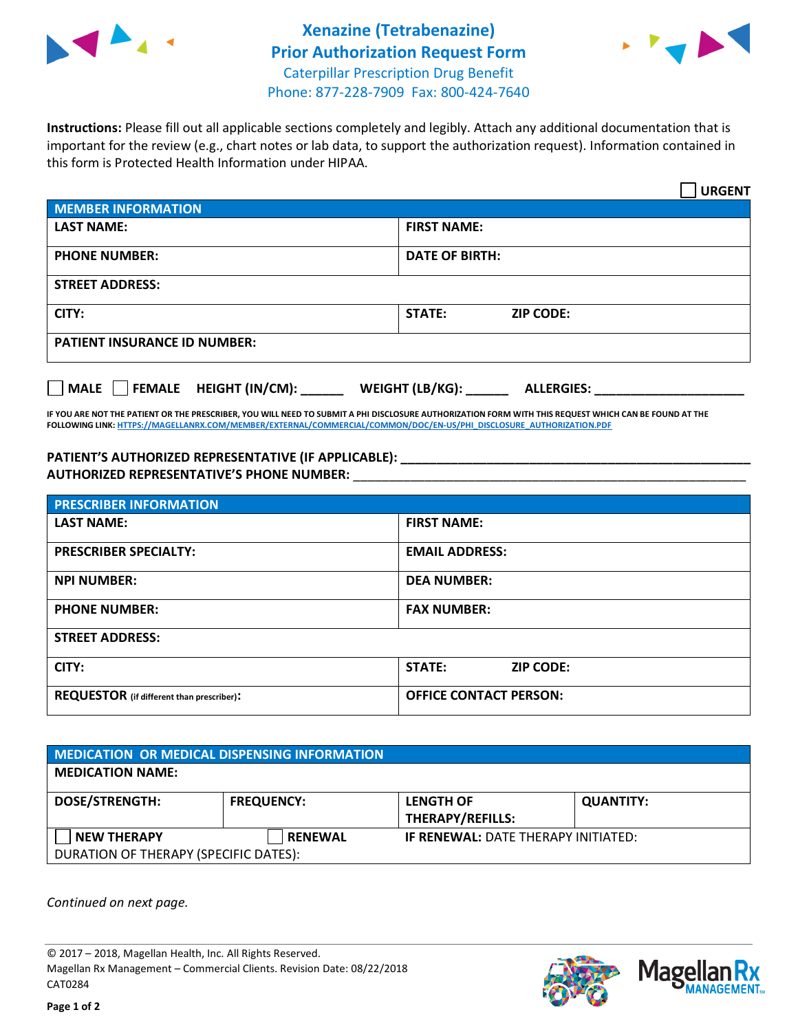



**Instructions:** Please fill out all applicable sections completely and legibly. Attach any additional documentation that is important for the review (e.g., chart notes or lab data, to support the authorization request). Information contained in this form is Protected Health Information under HIPAA.

|                                       | <b>URGENT</b>                        |  |
|---------------------------------------|--------------------------------------|--|
| <b>MEMBER INFORMATION</b>             |                                      |  |
| <b>LAST NAME:</b>                     | <b>FIRST NAME:</b>                   |  |
| <b>PHONE NUMBER:</b>                  | <b>DATE OF BIRTH:</b>                |  |
| <b>STREET ADDRESS:</b>                |                                      |  |
| CITY:                                 | <b>STATE:</b><br><b>ZIP CODE:</b>    |  |
| <b>PATIENT INSURANCE ID NUMBER:</b>   |                                      |  |
| FEMALE HEIGHT (IN/CM):<br><b>MALE</b> | WEIGHT (LB/KG):<br><b>ALLERGIES:</b> |  |

**IF YOU ARE NOT THE PATIENT OR THE PRESCRIBER, YOU WILL NEED TO SUBMIT A PHI DISCLOSURE AUTHORIZATION FORM WITH THIS REQUEST WHICH CAN BE FOUND AT THE FOLLOWING LINK[: HTTPS://MAGELLANRX.COM/MEMBER/EXTERNAL/COMMERCIAL/COMMON/DOC/EN-US/PHI\\_DISCLOSURE\\_AUTHORIZATION.PDF](https://magellanrx.com/member/external/commercial/common/doc/en-us/PHI_Disclosure_Authorization.pdf)**

PATIENT'S AUTHORIZED REPRESENTATIVE (IF APPLICABLE): **AUTHORIZED REPRESENTATIVE'S PHONE NUMBER:** \_\_\_\_\_\_\_\_\_\_\_\_\_\_\_\_\_\_\_\_\_\_\_\_\_\_\_\_\_\_\_\_\_\_\_\_\_\_\_\_\_\_\_\_\_\_\_\_\_\_\_\_\_\_\_

| <b>PRESCRIBER INFORMATION</b>             |                               |  |  |  |
|-------------------------------------------|-------------------------------|--|--|--|
| <b>LAST NAME:</b>                         | <b>FIRST NAME:</b>            |  |  |  |
| <b>PRESCRIBER SPECIALTY:</b>              | <b>EMAIL ADDRESS:</b>         |  |  |  |
| <b>NPI NUMBER:</b>                        | <b>DEA NUMBER:</b>            |  |  |  |
| <b>PHONE NUMBER:</b>                      | <b>FAX NUMBER:</b>            |  |  |  |
| <b>STREET ADDRESS:</b>                    |                               |  |  |  |
| CITY:                                     | STATE:<br><b>ZIP CODE:</b>    |  |  |  |
| REQUESTOR (if different than prescriber): | <b>OFFICE CONTACT PERSON:</b> |  |  |  |

| <b>MEDICATION OR MEDICAL DISPENSING INFORMATION</b> |                   |                                            |                  |  |
|-----------------------------------------------------|-------------------|--------------------------------------------|------------------|--|
| <b>MEDICATION NAME:</b>                             |                   |                                            |                  |  |
| <b>DOSE/STRENGTH:</b>                               | <b>FREQUENCY:</b> | <b>LENGTH OF</b>                           | <b>QUANTITY:</b> |  |
|                                                     |                   | <b>THERAPY/REFILLS:</b>                    |                  |  |
| <b>NEW THERAPY</b>                                  | <b>RENEWAL</b>    | <b>IF RENEWAL: DATE THERAPY INITIATED:</b> |                  |  |
| DURATION OF THERAPY (SPECIFIC DATES):               |                   |                                            |                  |  |

*Continued on next page.*

© 2017 – 2018, Magellan Health, Inc. All Rights Reserved. Magellan Rx Management – Commercial Clients. Revision Date: 08/22/2018 CAT0284